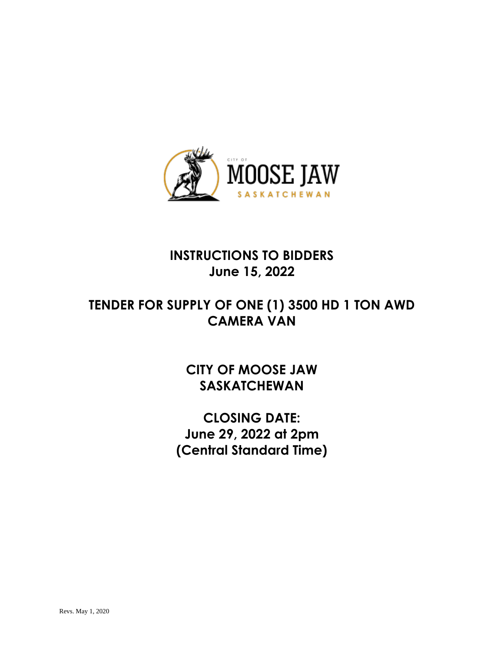

# **INSTRUCTIONS TO BIDDERS June 15, 2022**

# **TENDER FOR SUPPLY OF ONE (1) 3500 HD 1 TON AWD CAMERA VAN**

**CITY OF MOOSE JAW SASKATCHEWAN**

**CLOSING DATE: June 29, 2022 at 2pm (Central Standard Time)**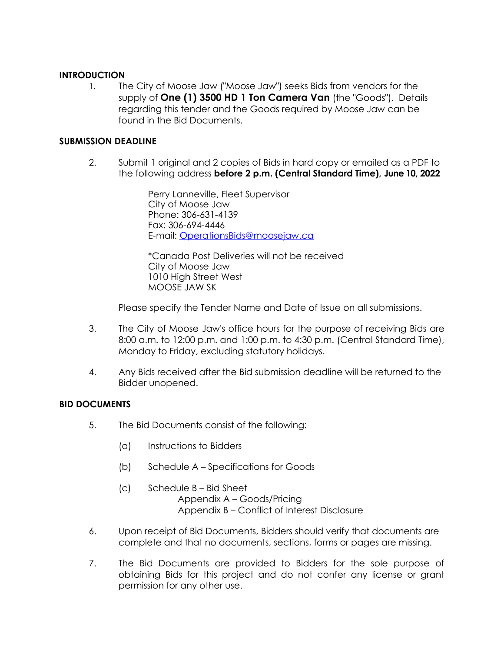#### **INTRODUCTION**

1. The City of Moose Jaw ("Moose Jaw") seeks Bids from vendors for the supply of **One (1) 3500 HD 1 Ton Camera Van** (the "Goods"). Details regarding this tender and the Goods required by Moose Jaw can be found in the Bid Documents.

### **SUBMISSION DEADLINE**

2. Submit 1 original and 2 copies of Bids in hard copy or emailed as a PDF to the following address **before 2 p.m. (Central Standard Time), June 10, 2022**

> Perry Lanneville, Fleet Supervisor City of Moose Jaw Phone: 306-631-4139 Fax: 306-694-4446 E-mail: [OperationsBids@moosejaw.ca](mailto:OperationsBids@moosejaw.ca)

\*Canada Post Deliveries will not be received City of Moose Jaw 1010 High Street West MOOSE JAW SK

Please specify the Tender Name and Date of Issue on all submissions.

- 3. The City of Moose Jaw's office hours for the purpose of receiving Bids are 8:00 a.m. to 12:00 p.m. and 1:00 p.m. to 4:30 p.m. (Central Standard Time), Monday to Friday, excluding statutory holidays.
- 4. Any Bids received after the Bid submission deadline will be returned to the Bidder unopened.

## **BID DOCUMENTS**

- 5. The Bid Documents consist of the following:
	- (a) Instructions to Bidders
	- (b) Schedule A Specifications for Goods
	- (c) Schedule B Bid Sheet Appendix A – Goods/Pricing Appendix B – Conflict of Interest Disclosure
- 6. Upon receipt of Bid Documents, Bidders should verify that documents are complete and that no documents, sections, forms or pages are missing.
- 7. The Bid Documents are provided to Bidders for the sole purpose of obtaining Bids for this project and do not confer any license or grant permission for any other use.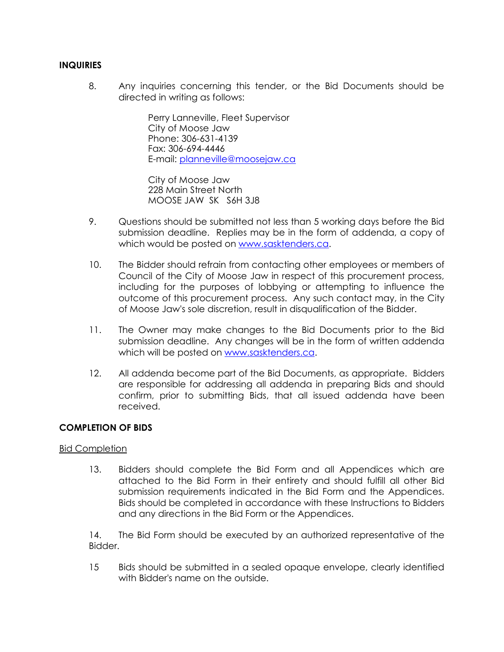#### **INQUIRIES**

8. Any inquiries concerning this tender, or the Bid Documents should be directed in writing as follows:

> Perry Lanneville, Fleet Supervisor City of Moose Jaw Phone: 306-631-4139 Fax: 306-694-4446 E-mail: [planneville@moosejaw.ca](mailto:planneville@moosejaw.ca)

City of Moose Jaw 228 Main Street North MOOSE JAW SK S6H 3J8

- 9. Questions should be submitted not less than 5 working days before the Bid submission deadline. Replies may be in the form of addenda, a copy of which would be posted on [www.sasktenders.ca.](http://www.sasktenders.ca/)
- 10. The Bidder should refrain from contacting other employees or members of Council of the City of Moose Jaw in respect of this procurement process, including for the purposes of lobbying or attempting to influence the outcome of this procurement process. Any such contact may, in the City of Moose Jaw's sole discretion, result in disqualification of the Bidder.
- 11. The Owner may make changes to the Bid Documents prior to the Bid submission deadline. Any changes will be in the form of written addenda which will be posted on [www.sasktenders.ca.](http://www.sasktenders.ca/)
- 12. All addenda become part of the Bid Documents, as appropriate. Bidders are responsible for addressing all addenda in preparing Bids and should confirm, prior to submitting Bids, that all issued addenda have been received.

#### **COMPLETION OF BIDS**

#### Bid Completion

13. Bidders should complete the Bid Form and all Appendices which are attached to the Bid Form in their entirety and should fulfill all other Bid submission requirements indicated in the Bid Form and the Appendices. Bids should be completed in accordance with these Instructions to Bidders and any directions in the Bid Form or the Appendices.

14. The Bid Form should be executed by an authorized representative of the Bidder.

15 Bids should be submitted in a sealed opaque envelope, clearly identified with Bidder's name on the outside.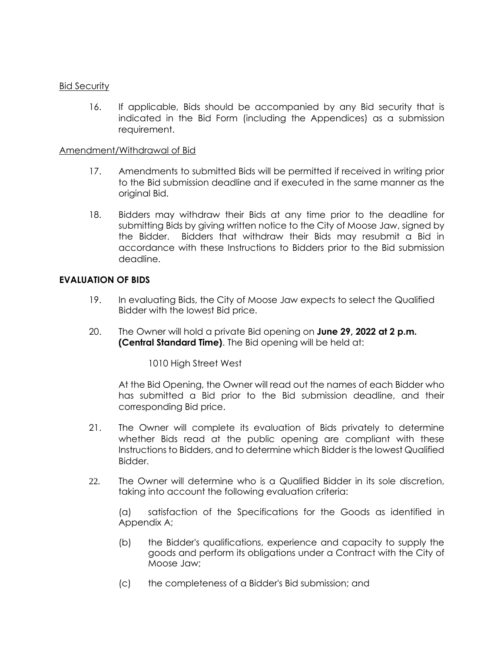#### Bid Security

16. If applicable, Bids should be accompanied by any Bid security that is indicated in the Bid Form (including the Appendices) as a submission requirement.

#### Amendment/Withdrawal of Bid

- 17. Amendments to submitted Bids will be permitted if received in writing prior to the Bid submission deadline and if executed in the same manner as the original Bid.
- 18. Bidders may withdraw their Bids at any time prior to the deadline for submitting Bids by giving written notice to the City of Moose Jaw, signed by the Bidder. Bidders that withdraw their Bids may resubmit a Bid in accordance with these Instructions to Bidders prior to the Bid submission deadline.

#### **EVALUATION OF BIDS**

- 19. In evaluating Bids, the City of Moose Jaw expects to select the Qualified Bidder with the lowest Bid price.
- 20. The Owner will hold a private Bid opening on **June 29, 2022 at 2 p.m. (Central Standard Time)**. The Bid opening will be held at:

1010 High Street West

At the Bid Opening, the Owner will read out the names of each Bidder who has submitted a Bid prior to the Bid submission deadline, and their corresponding Bid price.

- 21. The Owner will complete its evaluation of Bids privately to determine whether Bids read at the public opening are compliant with these Instructions to Bidders, and to determine which Bidder is the lowest Qualified Bidder.
- 22. The Owner will determine who is a Qualified Bidder in its sole discretion, taking into account the following evaluation criteria:

(a) satisfaction of the Specifications for the Goods as identified in Appendix A;

- (b) the Bidder's qualifications, experience and capacity to supply the goods and perform its obligations under a Contract with the City of Moose Jaw;
- (c) the completeness of a Bidder's Bid submission; and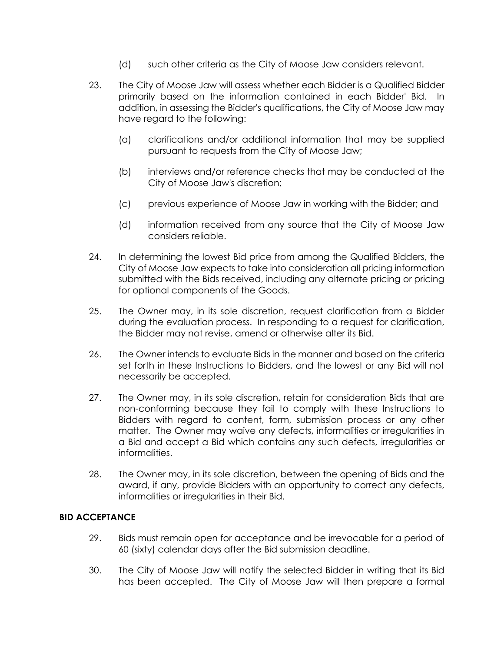- (d) such other criteria as the City of Moose Jaw considers relevant.
- 23. The City of Moose Jaw will assess whether each Bidder is a Qualified Bidder primarily based on the information contained in each Bidder' Bid. In addition, in assessing the Bidder's qualifications, the City of Moose Jaw may have regard to the following:
	- (a) clarifications and/or additional information that may be supplied pursuant to requests from the City of Moose Jaw;
	- (b) interviews and/or reference checks that may be conducted at the City of Moose Jaw's discretion;
	- (c) previous experience of Moose Jaw in working with the Bidder; and
	- (d) information received from any source that the City of Moose Jaw considers reliable.
- 24. In determining the lowest Bid price from among the Qualified Bidders, the City of Moose Jaw expects to take into consideration all pricing information submitted with the Bids received, including any alternate pricing or pricing for optional components of the Goods.
- 25. The Owner may, in its sole discretion, request clarification from a Bidder during the evaluation process. In responding to a request for clarification, the Bidder may not revise, amend or otherwise alter its Bid.
- 26. The Owner intends to evaluate Bids in the manner and based on the criteria set forth in these Instructions to Bidders, and the lowest or any Bid will not necessarily be accepted.
- 27. The Owner may, in its sole discretion, retain for consideration Bids that are non-conforming because they fail to comply with these Instructions to Bidders with regard to content, form, submission process or any other matter. The Owner may waive any defects, informalities or irregularities in a Bid and accept a Bid which contains any such defects, irregularities or informalities.
- 28. The Owner may, in its sole discretion, between the opening of Bids and the award, if any, provide Bidders with an opportunity to correct any defects, informalities or irregularities in their Bid.

#### **BID ACCEPTANCE**

- 29. Bids must remain open for acceptance and be irrevocable for a period of 60 (sixty) calendar days after the Bid submission deadline.
- 30. The City of Moose Jaw will notify the selected Bidder in writing that its Bid has been accepted. The City of Moose Jaw will then prepare a formal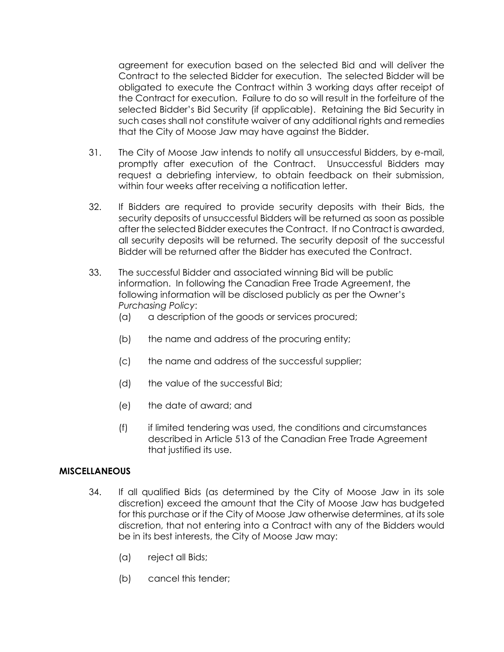agreement for execution based on the selected Bid and will deliver the Contract to the selected Bidder for execution. The selected Bidder will be obligated to execute the Contract within 3 working days after receipt of the Contract for execution. Failure to do so will result in the forfeiture of the selected Bidder's Bid Security (if applicable). Retaining the Bid Security in such cases shall not constitute waiver of any additional rights and remedies that the City of Moose Jaw may have against the Bidder.

- 31. The City of Moose Jaw intends to notify all unsuccessful Bidders, by e-mail, promptly after execution of the Contract. Unsuccessful Bidders may request a debriefing interview, to obtain feedback on their submission, within four weeks after receiving a notification letter.
- 32. If Bidders are required to provide security deposits with their Bids, the security deposits of unsuccessful Bidders will be returned as soon as possible after the selected Bidder executes the Contract. If no Contract is awarded, all security deposits will be returned. The security deposit of the successful Bidder will be returned after the Bidder has executed the Contract.
- 33. The successful Bidder and associated winning Bid will be public information. In following the Canadian Free Trade Agreement, the following information will be disclosed publicly as per the Owner's *Purchasing Policy*:
	- (a) a description of the goods or services procured;
	- (b) the name and address of the procuring entity;
	- (c) the name and address of the successful supplier;
	- (d) the value of the successful Bid;
	- (e) the date of award; and
	- (f) if limited tendering was used, the conditions and circumstances described in Article 513 of the Canadian Free Trade Agreement that justified its use.

#### **MISCELLANEOUS**

- 34. If all qualified Bids (as determined by the City of Moose Jaw in its sole discretion) exceed the amount that the City of Moose Jaw has budgeted for this purchase or if the City of Moose Jaw otherwise determines, at its sole discretion, that not entering into a Contract with any of the Bidders would be in its best interests, the City of Moose Jaw may:
	- (a) reject all Bids;
	- (b) cancel this tender;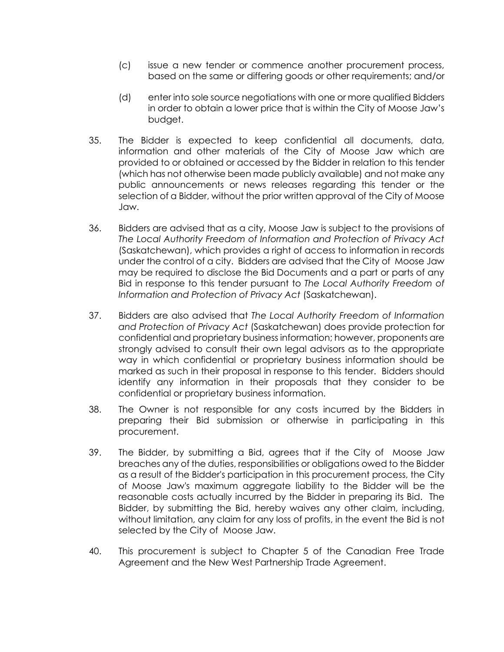- (c) issue a new tender or commence another procurement process, based on the same or differing goods or other requirements; and/or
- (d) enter into sole source negotiations with one or more qualified Bidders in order to obtain a lower price that is within the City of Moose Jaw's budget.
- 35. The Bidder is expected to keep confidential all documents, data, information and other materials of the City of Moose Jaw which are provided to or obtained or accessed by the Bidder in relation to this tender (which has not otherwise been made publicly available) and not make any public announcements or news releases regarding this tender or the selection of a Bidder, without the prior written approval of the City of Moose Jaw.
- 36. Bidders are advised that as a city, Moose Jaw is subject to the provisions of *The Local Authority Freedom of Information and Protection of Privacy Act* (Saskatchewan), which provides a right of access to information in records under the control of a city. Bidders are advised that the City of Moose Jaw may be required to disclose the Bid Documents and a part or parts of any Bid in response to this tender pursuant to *The Local Authority Freedom of Information and Protection of Privacy Act* (Saskatchewan).
- 37. Bidders are also advised that *The Local Authority Freedom of Information and Protection of Privacy Act* (Saskatchewan) does provide protection for confidential and proprietary business information; however, proponents are strongly advised to consult their own legal advisors as to the appropriate way in which confidential or proprietary business information should be marked as such in their proposal in response to this tender. Bidders should identify any information in their proposals that they consider to be confidential or proprietary business information.
- 38. The Owner is not responsible for any costs incurred by the Bidders in preparing their Bid submission or otherwise in participating in this procurement.
- 39. The Bidder, by submitting a Bid, agrees that if the City of Moose Jaw breaches any of the duties, responsibilities or obligations owed to the Bidder as a result of the Bidder's participation in this procurement process, the City of Moose Jaw's maximum aggregate liability to the Bidder will be the reasonable costs actually incurred by the Bidder in preparing its Bid. The Bidder, by submitting the Bid, hereby waives any other claim, including, without limitation, any claim for any loss of profits, in the event the Bid is not selected by the City of Moose Jaw.
- 40. This procurement is subject to Chapter 5 of the Canadian Free Trade Agreement and the New West Partnership Trade Agreement.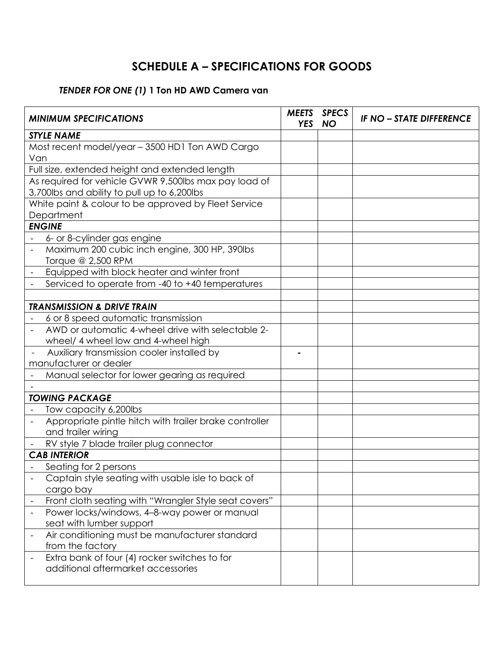# **SCHEDULE A – SPECIFICATIONS FOR GOODS**

## *TENDER FOR ONE (1)* **1 Ton HD AWD Camera van**

| <b>MINIMUM SPECIFICATIONS</b>                          | <b>MEETS</b><br><b>YES</b> | <b>SPECS</b><br><b>NO</b> | <b>IF NO - STATE DIFFERENCE</b> |
|--------------------------------------------------------|----------------------------|---------------------------|---------------------------------|
| <b>STYLE NAME</b>                                      |                            |                           |                                 |
| Most recent model/year - 3500 HD1 Ton AWD Cargo        |                            |                           |                                 |
| Van                                                    |                            |                           |                                 |
| Full size, extended height and extended length         |                            |                           |                                 |
| As required for vehicle GVWR 9,500lbs max pay load of  |                            |                           |                                 |
| 3,700lbs and ability to pull up to 6,200lbs            |                            |                           |                                 |
| White paint & colour to be approved by Fleet Service   |                            |                           |                                 |
| Department                                             |                            |                           |                                 |
| <b>ENGINE</b>                                          |                            |                           |                                 |
| 6- or 8-cylinder gas engine                            |                            |                           |                                 |
| Maximum 200 cubic inch engine, 300 HP, 390lbs          |                            |                           |                                 |
| Torque @ 2,500 RPM                                     |                            |                           |                                 |
| Equipped with block heater and winter front            |                            |                           |                                 |
| Serviced to operate from -40 to +40 temperatures       |                            |                           |                                 |
|                                                        |                            |                           |                                 |
| <b>TRANSMISSION &amp; DRIVE TRAIN</b>                  |                            |                           |                                 |
| 6 or 8 speed automatic transmission                    |                            |                           |                                 |
| AWD or automatic 4-wheel drive with selectable 2-      |                            |                           |                                 |
| wheel/ 4 wheel low and 4-wheel high                    |                            |                           |                                 |
| Auxiliary transmission cooler installed by             |                            |                           |                                 |
| manufacturer or dealer                                 |                            |                           |                                 |
| Manual selector for lower gearing as required          |                            |                           |                                 |
|                                                        |                            |                           |                                 |
| <b>TOWING PACKAGE</b>                                  |                            |                           |                                 |
| Tow capacity 6,200lbs                                  |                            |                           |                                 |
| Appropriate pintle hitch with trailer brake controller |                            |                           |                                 |
| and trailer wiring                                     |                            |                           |                                 |
| RV style 7 blade trailer plug connector                |                            |                           |                                 |
| <b>CAB INTERIOR</b>                                    |                            |                           |                                 |
| Seating for 2 persons                                  |                            |                           |                                 |
| Captain style seating with usable isle to back of      |                            |                           |                                 |
| cargo bay                                              |                            |                           |                                 |
| Front cloth seating with "Wrangler Style seat covers"  |                            |                           |                                 |
| Power locks/windows, 4-8-way power or manual           |                            |                           |                                 |
| seat with lumber support                               |                            |                           |                                 |
| Air conditioning must be manufacturer standard         |                            |                           |                                 |
| from the factory                                       |                            |                           |                                 |
| Extra bank of four (4) rocker switches to for          |                            |                           |                                 |
| additional aftermarket accessories                     |                            |                           |                                 |
|                                                        |                            |                           |                                 |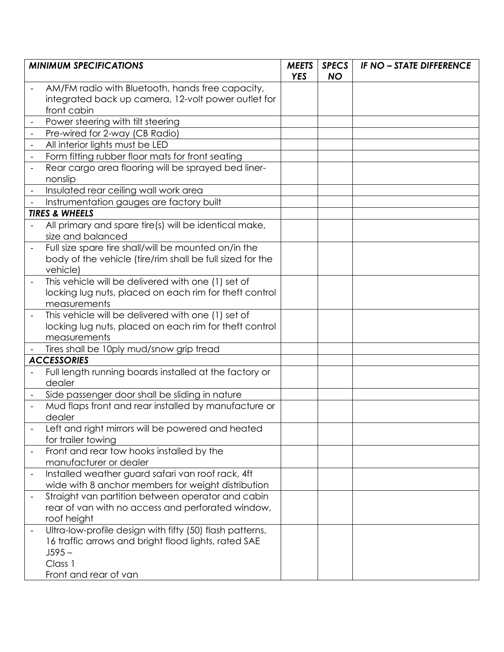| <b>MINIMUM SPECIFICATIONS</b> |                                                                                                         |  | <b>SPECS</b><br><b>NO</b> | <b>IF NO - STATE DIFFERENCE</b> |
|-------------------------------|---------------------------------------------------------------------------------------------------------|--|---------------------------|---------------------------------|
|                               | AM/FM radio with Bluetooth, hands free capacity,<br>integrated back up camera, 12-volt power outlet for |  |                           |                                 |
|                               | front cabin                                                                                             |  |                           |                                 |
|                               | Power steering with tilt steering                                                                       |  |                           |                                 |
|                               | Pre-wired for 2-way (CB Radio)                                                                          |  |                           |                                 |
|                               | All interior lights must be LED                                                                         |  |                           |                                 |
|                               | Form fitting rubber floor mats for front seating                                                        |  |                           |                                 |
|                               | Rear cargo area flooring will be sprayed bed liner-                                                     |  |                           |                                 |
|                               | nonslip                                                                                                 |  |                           |                                 |
|                               | Insulated rear ceiling wall work area                                                                   |  |                           |                                 |
|                               | Instrumentation gauges are factory built                                                                |  |                           |                                 |
|                               | <b>TIRES &amp; WHEELS</b>                                                                               |  |                           |                                 |
|                               | All primary and spare tire(s) will be identical make,<br>size and balanced                              |  |                           |                                 |
|                               | Full size spare tire shall/will be mounted on/in the                                                    |  |                           |                                 |
|                               | body of the vehicle (tire/rim shall be full sized for the                                               |  |                           |                                 |
|                               | vehicle)                                                                                                |  |                           |                                 |
|                               | This vehicle will be delivered with one (1) set of                                                      |  |                           |                                 |
|                               | locking lug nuts, placed on each rim for theft control                                                  |  |                           |                                 |
|                               | measurements                                                                                            |  |                           |                                 |
|                               | This vehicle will be delivered with one (1) set of                                                      |  |                           |                                 |
|                               | locking lug nuts, placed on each rim for theft control                                                  |  |                           |                                 |
|                               | measurements                                                                                            |  |                           |                                 |
|                               | Tires shall be 10ply mud/snow grip tread                                                                |  |                           |                                 |
|                               | <b>ACCESSORIES</b>                                                                                      |  |                           |                                 |
|                               | Full length running boards installed at the factory or<br>dealer                                        |  |                           |                                 |
|                               | Side passenger door shall be sliding in nature                                                          |  |                           |                                 |
|                               | Mud flaps front and rear installed by manufacture or                                                    |  |                           |                                 |
|                               | dealer                                                                                                  |  |                           |                                 |
|                               | Left and right mirrors will be powered and heated                                                       |  |                           |                                 |
|                               | for trailer towing                                                                                      |  |                           |                                 |
|                               | Front and rear tow hooks installed by the                                                               |  |                           |                                 |
|                               | manufacturer or dealer                                                                                  |  |                           |                                 |
|                               | Installed weather guard safari van roof rack, 4ft<br>wide with 8 anchor members for weight distribution |  |                           |                                 |
|                               | Straight van partition between operator and cabin                                                       |  |                           |                                 |
|                               | rear of van with no access and perforated window,                                                       |  |                           |                                 |
|                               | roof height                                                                                             |  |                           |                                 |
|                               | Ultra-low-profile design with fifty (50) flash patterns,                                                |  |                           |                                 |
|                               | 16 traffic arrows and bright flood lights, rated SAE                                                    |  |                           |                                 |
|                               | $J595 -$                                                                                                |  |                           |                                 |
|                               | Class 1                                                                                                 |  |                           |                                 |
|                               | Front and rear of van                                                                                   |  |                           |                                 |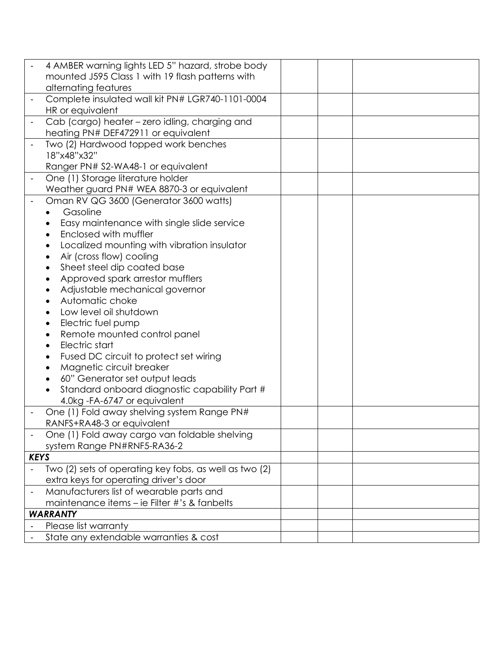|                              | 4 AMBER warning lights LED 5" hazard, strobe body      |  |
|------------------------------|--------------------------------------------------------|--|
|                              | mounted J595 Class 1 with 19 flash patterns with       |  |
|                              | alternating features                                   |  |
|                              | Complete insulated wall kit PN# LGR740-1101-0004       |  |
|                              | HR or equivalent                                       |  |
|                              | Cab (cargo) heater - zero idling, charging and         |  |
|                              | heating PN# DEF472911 or equivalent                    |  |
|                              | Two (2) Hardwood topped work benches                   |  |
|                              | 18"x48"x32"                                            |  |
|                              | Ranger PN# S2-WA48-1 or equivalent                     |  |
|                              | One (1) Storage literature holder                      |  |
|                              | Weather guard PN# WEA 8870-3 or equivalent             |  |
|                              | Oman RV QG 3600 (Generator 3600 watts)                 |  |
|                              | Gasoline                                               |  |
|                              | Easy maintenance with single slide service             |  |
|                              | Enclosed with muffler                                  |  |
|                              | Localized mounting with vibration insulator            |  |
|                              | Air (cross flow) cooling                               |  |
|                              | Sheet steel dip coated base                            |  |
|                              | Approved spark arrestor mufflers                       |  |
|                              | Adjustable mechanical governor                         |  |
|                              | Automatic choke                                        |  |
|                              | Low level oil shutdown                                 |  |
|                              | Electric fuel pump                                     |  |
|                              | Remote mounted control panel                           |  |
|                              | Electric start                                         |  |
|                              | Fused DC circuit to protect set wiring                 |  |
|                              | Magnetic circuit breaker                               |  |
|                              | 60" Generator set output leads                         |  |
|                              | Standard onboard diagnostic capability Part #          |  |
|                              | 4.0kg - FA-6747 or equivalent                          |  |
|                              | One (1) Fold away shelving system Range PN#            |  |
|                              | RANFS+RA48-3 or equivalent                             |  |
|                              | One (1) Fold away cargo van foldable shelving          |  |
|                              | system Range PN#RNF5-RA36-2                            |  |
| <b>KEYS</b>                  |                                                        |  |
|                              | Two (2) sets of operating key fobs, as well as two (2) |  |
|                              | extra keys for operating driver's door                 |  |
| $\qquad \qquad \blacksquare$ | Manufacturers list of wearable parts and               |  |
|                              | maintenance items – ie Filter #'s & fanbelts           |  |
|                              | <b>WARRANTY</b>                                        |  |
|                              | Please list warranty                                   |  |
|                              | State any extendable warranties & cost                 |  |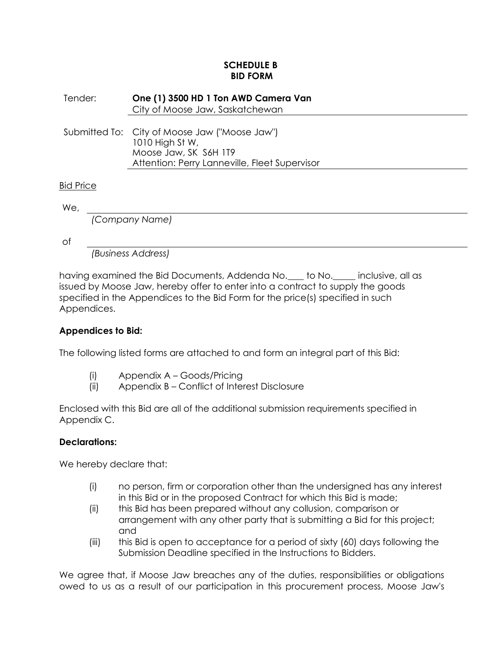## **SCHEDULE B BID FORM**

Tender: **One (1) 3500 HD 1 Ton AWD Camera Van** City of Moose Jaw, Saskatchewan Submitted To: City of Moose Jaw ("Moose Jaw") 1010 High St W, Moose Jaw, SK S6H 1T9 Attention: Perry Lanneville, Fleet Supervisor Bid Price

We,

*(Company Name)*

of

*(Business Address)*

having examined the Bid Documents, Addenda No. to No. inclusive, all as issued by Moose Jaw, hereby offer to enter into a contract to supply the goods specified in the Appendices to the Bid Form for the price(s) specified in such Appendices.

## **Appendices to Bid:**

The following listed forms are attached to and form an integral part of this Bid:

- (i) Appendix A Goods/Pricing
- (ii) Appendix B Conflict of Interest Disclosure

Enclosed with this Bid are all of the additional submission requirements specified in Appendix C.

## **Declarations:**

We hereby declare that:

- (i) no person, firm or corporation other than the undersigned has any interest in this Bid or in the proposed Contract for which this Bid is made;
- (ii) this Bid has been prepared without any collusion, comparison or arrangement with any other party that is submitting a Bid for this project; and
- (iii) this Bid is open to acceptance for a period of sixty (60) days following the Submission Deadline specified in the Instructions to Bidders.

We agree that, if Moose Jaw breaches any of the duties, responsibilities or obligations owed to us as a result of our participation in this procurement process, Moose Jaw's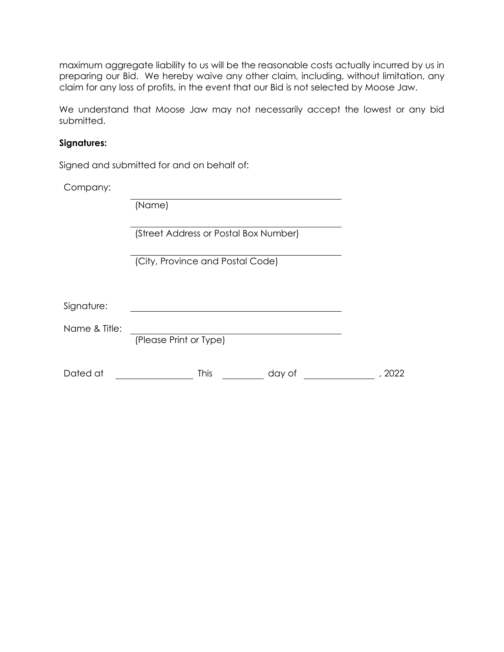maximum aggregate liability to us will be the reasonable costs actually incurred by us in preparing our Bid. We hereby waive any other claim, including, without limitation, any claim for any loss of profits, in the event that our Bid is not selected by Moose Jaw.

We understand that Moose Jaw may not necessarily accept the lowest or any bid submitted.

### **Signatures:**

Signed and submitted for and on behalf of:

Company:

|               | (Name)                                |  |
|---------------|---------------------------------------|--|
|               | (Street Address or Postal Box Number) |  |
|               | (City, Province and Postal Code)      |  |
| Signature:    |                                       |  |
| Name & Title: | (Please Print or Type)                |  |
| Dated at      | <b>This</b><br>day of                 |  |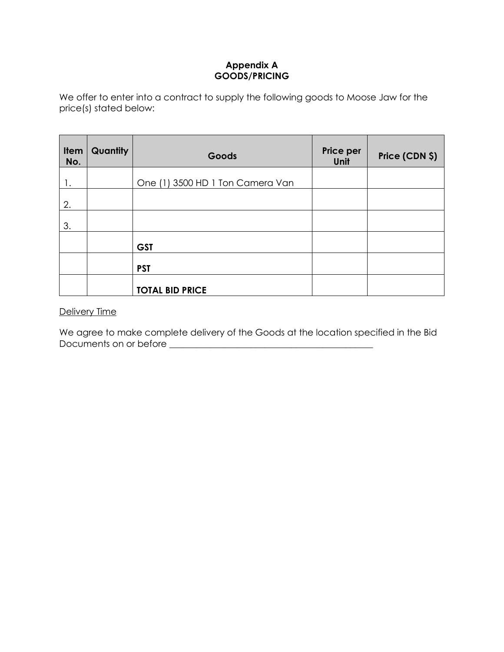## **Appendix A GOODS/PRICING**

We offer to enter into a contract to supply the following goods to Moose Jaw for the price(s) stated below:

| Item<br>No. | Quantity | Goods                            | Price per<br>Unit | Price (CDN \$) |
|-------------|----------|----------------------------------|-------------------|----------------|
|             |          | One (1) 3500 HD 1 Ton Camera Van |                   |                |
| 2.          |          |                                  |                   |                |
| 3.          |          |                                  |                   |                |
|             |          | <b>GST</b>                       |                   |                |
|             |          | <b>PST</b>                       |                   |                |
|             |          | <b>TOTAL BID PRICE</b>           |                   |                |

## Delivery Time

We agree to make complete delivery of the Goods at the location specified in the Bid Documents on or before **\_\_\_\_\_\_\_\_\_\_\_\_\_\_\_\_\_\_\_\_\_\_\_\_\_\_\_\_\_\_\_\_\_\_\_\_\_\_\_\_\_\_\_\_\_**